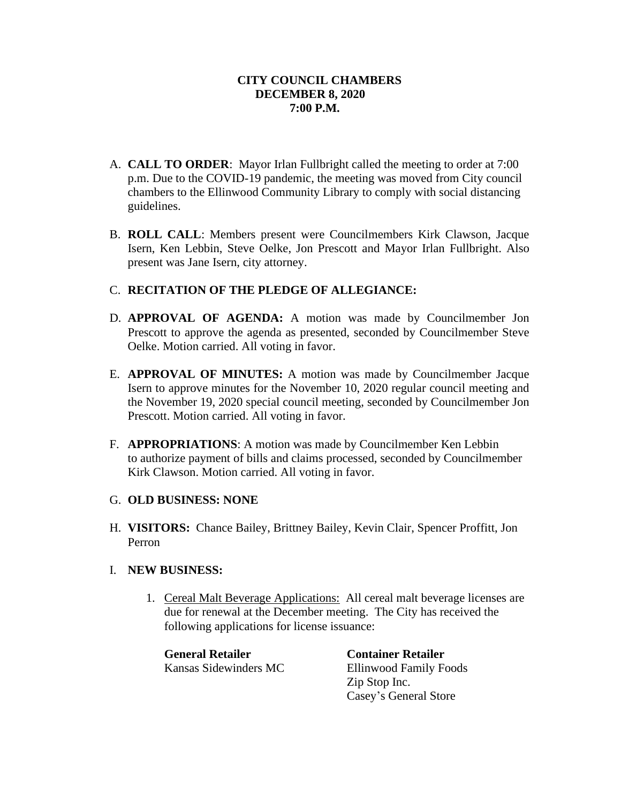- A. **CALL TO ORDER**: Mayor Irlan Fullbright called the meeting to order at 7:00 p.m. Due to the COVID-19 pandemic, the meeting was moved from City council chambers to the Ellinwood Community Library to comply with social distancing guidelines.
- B. **ROLL CALL**: Members present were Councilmembers Kirk Clawson, Jacque Isern, Ken Lebbin, Steve Oelke, Jon Prescott and Mayor Irlan Fullbright. Also present was Jane Isern, city attorney.

# C. **RECITATION OF THE PLEDGE OF ALLEGIANCE:**

- D. **APPROVAL OF AGENDA:** A motion was made by Councilmember Jon Prescott to approve the agenda as presented, seconded by Councilmember Steve Oelke. Motion carried. All voting in favor.
- E. **APPROVAL OF MINUTES:** A motion was made by Councilmember Jacque Isern to approve minutes for the November 10, 2020 regular council meeting and the November 19, 2020 special council meeting, seconded by Councilmember Jon Prescott. Motion carried. All voting in favor.
- F. **APPROPRIATIONS**: A motion was made by Councilmember Ken Lebbin to authorize payment of bills and claims processed, seconded by Councilmember Kirk Clawson. Motion carried. All voting in favor.

### G. **OLD BUSINESS: NONE**

H. **VISITORS:** Chance Bailey, Brittney Bailey, Kevin Clair, Spencer Proffitt, Jon Perron

### I. **NEW BUSINESS:**

1. Cereal Malt Beverage Applications: All cereal malt beverage licenses are due for renewal at the December meeting. The City has received the following applications for license issuance:

**General Retailer Container Retailer**

Kansas Sidewinders MC Ellinwood Family Foods Zip Stop Inc. Casey's General Store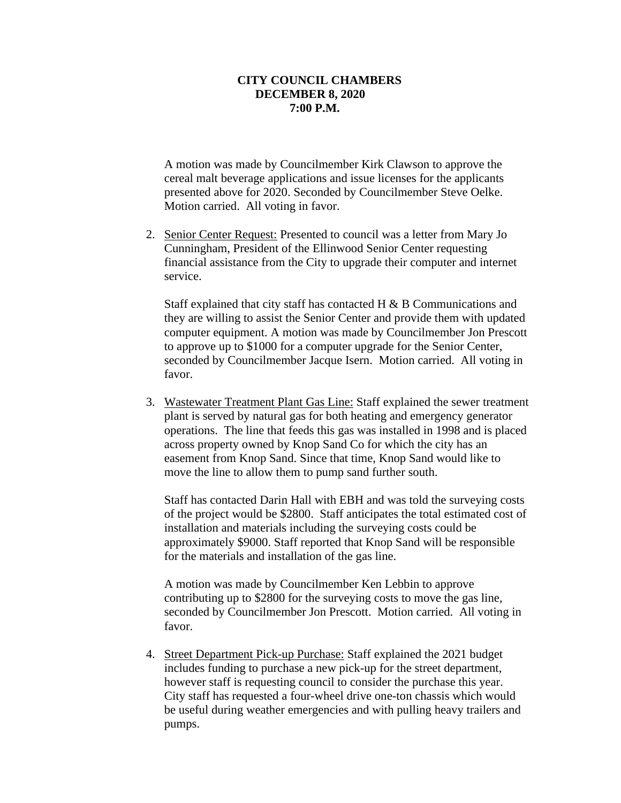A motion was made by Councilmember Kirk Clawson to approve the cereal malt beverage applications and issue licenses for the applicants presented above for 2020. Seconded by Councilmember Steve Oelke. Motion carried. All voting in favor.

2. Senior Center Request: Presented to council was a letter from Mary Jo Cunningham, President of the Ellinwood Senior Center requesting financial assistance from the City to upgrade their computer and internet service.

Staff explained that city staff has contacted H & B Communications and they are willing to assist the Senior Center and provide them with updated computer equipment. A motion was made by Councilmember Jon Prescott to approve up to \$1000 for a computer upgrade for the Senior Center, seconded by Councilmember Jacque Isern. Motion carried. All voting in favor.

3. Wastewater Treatment Plant Gas Line: Staff explained the sewer treatment plant is served by natural gas for both heating and emergency generator operations. The line that feeds this gas was installed in 1998 and is placed across property owned by Knop Sand Co for which the city has an easement from Knop Sand. Since that time, Knop Sand would like to move the line to allow them to pump sand further south.

Staff has contacted Darin Hall with EBH and was told the surveying costs of the project would be \$2800. Staff anticipates the total estimated cost of installation and materials including the surveying costs could be approximately \$9000. Staff reported that Knop Sand will be responsible for the materials and installation of the gas line.

A motion was made by Councilmember Ken Lebbin to approve contributing up to \$2800 for the surveying costs to move the gas line, seconded by Councilmember Jon Prescott. Motion carried. All voting in favor.

4. Street Department Pick-up Purchase: Staff explained the 2021 budget includes funding to purchase a new pick-up for the street department, however staff is requesting council to consider the purchase this year. City staff has requested a four-wheel drive one-ton chassis which would be useful during weather emergencies and with pulling heavy trailers and pumps.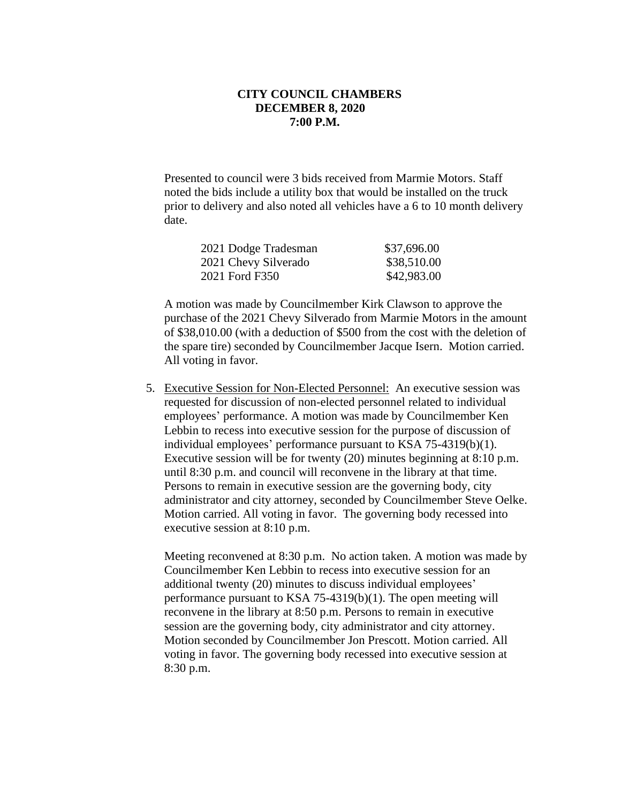Presented to council were 3 bids received from Marmie Motors. Staff noted the bids include a utility box that would be installed on the truck prior to delivery and also noted all vehicles have a 6 to 10 month delivery date.

| 2021 Dodge Tradesman | \$37,696.00 |
|----------------------|-------------|
| 2021 Chevy Silverado | \$38,510.00 |
| 2021 Ford F350       | \$42,983.00 |

A motion was made by Councilmember Kirk Clawson to approve the purchase of the 2021 Chevy Silverado from Marmie Motors in the amount of \$38,010.00 (with a deduction of \$500 from the cost with the deletion of the spare tire) seconded by Councilmember Jacque Isern. Motion carried. All voting in favor.

 5. Executive Session for Non-Elected Personnel: An executive session was requested for discussion of non-elected personnel related to individual employees' performance. A motion was made by Councilmember Ken Lebbin to recess into executive session for the purpose of discussion of individual employees' performance pursuant to KSA 75-4319(b)(1). Executive session will be for twenty (20) minutes beginning at 8:10 p.m. until 8:30 p.m. and council will reconvene in the library at that time. Persons to remain in executive session are the governing body, city administrator and city attorney, seconded by Councilmember Steve Oelke. Motion carried. All voting in favor. The governing body recessed into executive session at 8:10 p.m.

Meeting reconvened at 8:30 p.m. No action taken. A motion was made by Councilmember Ken Lebbin to recess into executive session for an additional twenty (20) minutes to discuss individual employees' performance pursuant to KSA 75-4319(b)(1). The open meeting will reconvene in the library at 8:50 p.m. Persons to remain in executive session are the governing body, city administrator and city attorney. Motion seconded by Councilmember Jon Prescott. Motion carried. All voting in favor. The governing body recessed into executive session at 8:30 p.m.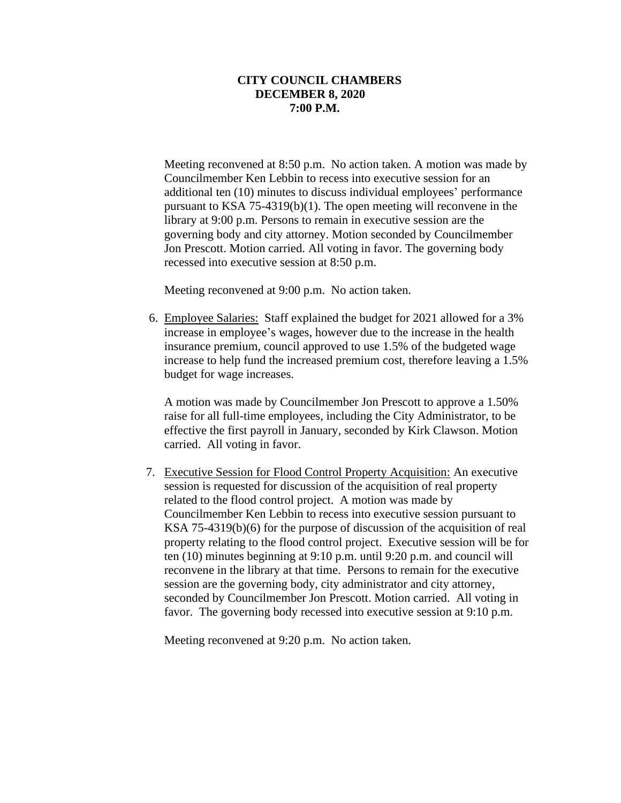Meeting reconvened at 8:50 p.m. No action taken. A motion was made by Councilmember Ken Lebbin to recess into executive session for an additional ten (10) minutes to discuss individual employees' performance pursuant to KSA 75-4319(b)(1). The open meeting will reconvene in the library at 9:00 p.m. Persons to remain in executive session are the governing body and city attorney. Motion seconded by Councilmember Jon Prescott. Motion carried. All voting in favor. The governing body recessed into executive session at 8:50 p.m.

Meeting reconvened at 9:00 p.m. No action taken.

 6. Employee Salaries: Staff explained the budget for 2021 allowed for a 3% increase in employee's wages, however due to the increase in the health insurance premium, council approved to use 1.5% of the budgeted wage increase to help fund the increased premium cost, therefore leaving a 1.5% budget for wage increases.

A motion was made by Councilmember Jon Prescott to approve a 1.50% raise for all full-time employees, including the City Administrator, to be effective the first payroll in January, seconded by Kirk Clawson. Motion carried. All voting in favor.

7. Executive Session for Flood Control Property Acquisition: An executive session is requested for discussion of the acquisition of real property related to the flood control project. A motion was made by Councilmember Ken Lebbin to recess into executive session pursuant to KSA 75-4319(b)(6) for the purpose of discussion of the acquisition of real property relating to the flood control project. Executive session will be for ten (10) minutes beginning at 9:10 p.m. until 9:20 p.m. and council will reconvene in the library at that time. Persons to remain for the executive session are the governing body, city administrator and city attorney, seconded by Councilmember Jon Prescott. Motion carried. All voting in favor. The governing body recessed into executive session at 9:10 p.m.

Meeting reconvened at 9:20 p.m. No action taken.